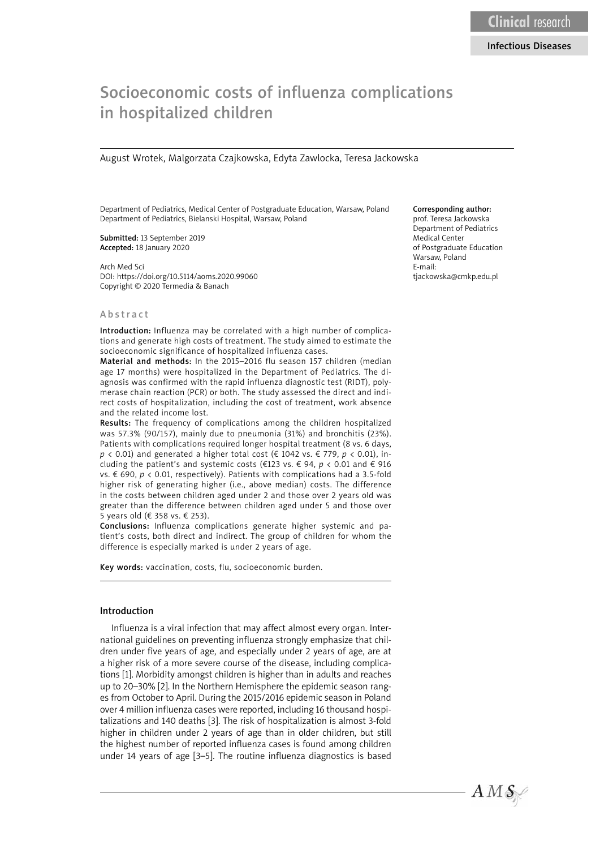# Socioeconomic costs of influenza complications in hospitalized children

August Wrotek, Malgorzata Czajkowska, Edyta Zawlocka, Teresa Jackowska

Department of Pediatrics, Medical Center of Postgraduate Education, Warsaw, Poland Department of Pediatrics, Bielanski Hospital, Warsaw, Poland

Submitted: 13 September 2019 Accepted: 18 January 2020

Arch Med Sci DOI: https://doi.org/10.5114/aoms.2020.99060 Copyright © 2020 Termedia & Banach

## Corresponding author:

prof. Teresa Jackowska Department of Pediatrics Medical Center of Postgraduate Education Warsaw, Poland E-mail: tjackowska@cmkp.edu.pl

#### Abstract

Introduction: Influenza may be correlated with a high number of complications and generate high costs of treatment. The study aimed to estimate the socioeconomic significance of hospitalized influenza cases.

Material and methods: In the 2015–2016 flu season 157 children (median age 17 months) were hospitalized in the Department of Pediatrics. The diagnosis was confirmed with the rapid influenza diagnostic test (RIDT), polymerase chain reaction (PCR) or both. The study assessed the direct and indirect costs of hospitalization, including the cost of treatment, work absence and the related income lost.

Results: The frequency of complications among the children hospitalized was 57.3% (90/157), mainly due to pneumonia (31%) and bronchitis (23%). Patients with complications required longer hospital treatment (8 vs. 6 days, *p* < 0.01) and generated a higher total cost (€ 1042 vs. € 779, *p* < 0.01), including the patient's and systemic costs (€123 vs. € 94, *p* < 0.01 and € 916 vs. € 690, *p* < 0.01, respectively). Patients with complications had a 3.5-fold higher risk of generating higher (i.e., above median) costs. The difference in the costs between children aged under 2 and those over 2 years old was greater than the difference between children aged under 5 and those over 5 years old (€ 358 vs. € 253).

Conclusions: Influenza complications generate higher systemic and patient's costs, both direct and indirect. The group of children for whom the difference is especially marked is under 2 years of age.

Key words: vaccination, costs, flu, socioeconomic burden.

#### Introduction

Influenza is a viral infection that may affect almost every organ. International guidelines on preventing influenza strongly emphasize that children under five years of age, and especially under 2 years of age, are at a higher risk of a more severe course of the disease, including complications [1]. Morbidity amongst children is higher than in adults and reaches up to 20–30% [2]. In the Northern Hemisphere the epidemic season ranges from October to April. During the 2015/2016 epidemic season in Poland over 4 million influenza cases were reported, including 16 thousand hospitalizations and 140 deaths [3]. The risk of hospitalization is almost 3-fold higher in children under 2 years of age than in older children, but still the highest number of reported influenza cases is found among children under 14 years of age [3–5]. The routine influenza diagnostics is based

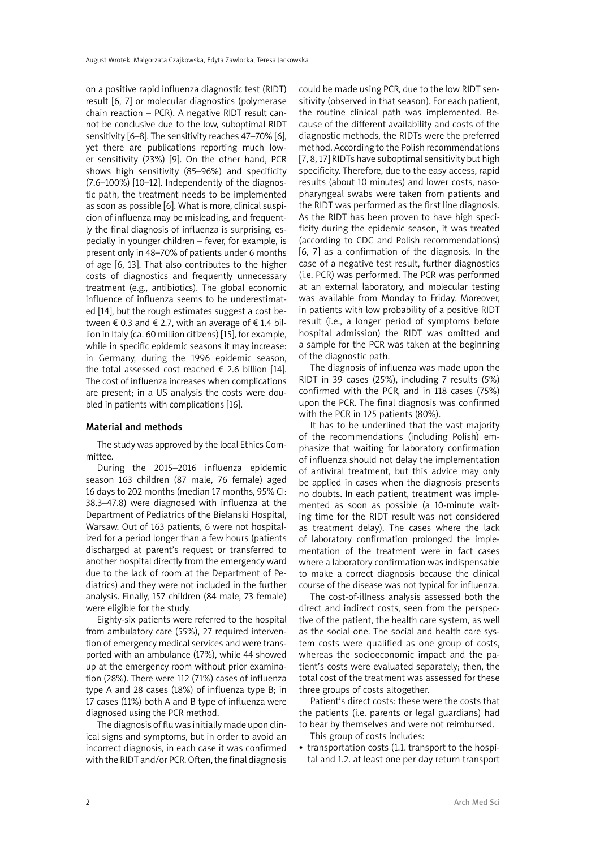on a positive rapid influenza diagnostic test (RIDT) result [6, 7] or molecular diagnostics (polymerase chain reaction – PCR). A negative RIDT result cannot be conclusive due to the low, suboptimal RIDT sensitivity [6–8]. The sensitivity reaches 47–70% [6], yet there are publications reporting much lower sensitivity (23%) [9]. On the other hand, PCR shows high sensitivity (85–96%) and specificity (7.6–100%) [10–12]. Independently of the diagnostic path, the treatment needs to be implemented as soon as possible [6]. What is more, clinical suspicion of influenza may be misleading, and frequently the final diagnosis of influenza is surprising, especially in younger children – fever, for example, is present only in 48–70% of patients under 6 months of age [6, 13]. That also contributes to the higher costs of diagnostics and frequently unnecessary treatment (e.g., antibiotics). The global economic influence of influenza seems to be underestimated [14], but the rough estimates suggest a cost between  $\epsilon$  0.3 and  $\epsilon$  2.7, with an average of  $\epsilon$  1.4 billion in Italy (ca. 60 million citizens) [15], for example, while in specific epidemic seasons it may increase: in Germany, during the 1996 epidemic season, the total assessed cost reached  $\epsilon$  2.6 billion [14]. The cost of influenza increases when complications are present; in a US analysis the costs were doubled in patients with complications [16].

## Material and methods

The study was approved by the local Ethics Committee.

During the 2015–2016 influenza epidemic season 163 children (87 male, 76 female) aged 16 days to 202 months (median 17 months, 95% CI: 38.3–47.8) were diagnosed with influenza at the Department of Pediatrics of the Bielanski Hospital, Warsaw. Out of 163 patients, 6 were not hospitalized for a period longer than a few hours (patients discharged at parent's request or transferred to another hospital directly from the emergency ward due to the lack of room at the Department of Pediatrics) and they were not included in the further analysis. Finally, 157 children (84 male, 73 female) were eligible for the study.

Eighty-six patients were referred to the hospital from ambulatory care (55%), 27 required intervention of emergency medical services and were transported with an ambulance (17%), while 44 showed up at the emergency room without prior examination (28%). There were 112 (71%) cases of influenza type A and 28 cases (18%) of influenza type B; in 17 cases (11%) both A and B type of influenza were diagnosed using the PCR method.

The diagnosis of flu was initially made upon clinical signs and symptoms, but in order to avoid an incorrect diagnosis, in each case it was confirmed with the RIDT and/or PCR. Often, the final diagnosis could be made using PCR, due to the low RIDT sensitivity (observed in that season). For each patient, the routine clinical path was implemented. Because of the different availability and costs of the diagnostic methods, the RIDTs were the preferred method. According to the Polish recommendations [7, 8, 17] RIDTs have suboptimal sensitivity but high specificity. Therefore, due to the easy access, rapid results (about 10 minutes) and lower costs, nasopharyngeal swabs were taken from patients and the RIDT was performed as the first line diagnosis. As the RIDT has been proven to have high specificity during the epidemic season, it was treated (according to CDC and Polish recommendations) [6, 7] as a confirmation of the diagnosis. In the case of a negative test result, further diagnostics (i.e. PCR) was performed. The PCR was performed at an external laboratory, and molecular testing was available from Monday to Friday. Moreover, in patients with low probability of a positive RIDT result (i.e., a longer period of symptoms before hospital admission) the RIDT was omitted and a sample for the PCR was taken at the beginning of the diagnostic path.

The diagnosis of influenza was made upon the RIDT in 39 cases (25%), including 7 results (5%) confirmed with the PCR, and in 118 cases (75%) upon the PCR. The final diagnosis was confirmed with the PCR in 125 patients (80%).

It has to be underlined that the vast majority of the recommendations (including Polish) emphasize that waiting for laboratory confirmation of influenza should not delay the implementation of antiviral treatment, but this advice may only be applied in cases when the diagnosis presents no doubts. In each patient, treatment was implemented as soon as possible (a 10-minute waiting time for the RIDT result was not considered as treatment delay). The cases where the lack of laboratory confirmation prolonged the implementation of the treatment were in fact cases where a laboratory confirmation was indispensable to make a correct diagnosis because the clinical course of the disease was not typical for influenza.

The cost-of-illness analysis assessed both the direct and indirect costs, seen from the perspective of the patient, the health care system, as well as the social one. The social and health care system costs were qualified as one group of costs, whereas the socioeconomic impact and the patient's costs were evaluated separately; then, the total cost of the treatment was assessed for these three groups of costs altogether.

Patient's direct costs: these were the costs that the patients (i.e. parents or legal guardians) had to bear by themselves and were not reimbursed. This group of costs includes:

• transportation costs (1.1. transport to the hospital and 1.2. at least one per day return transport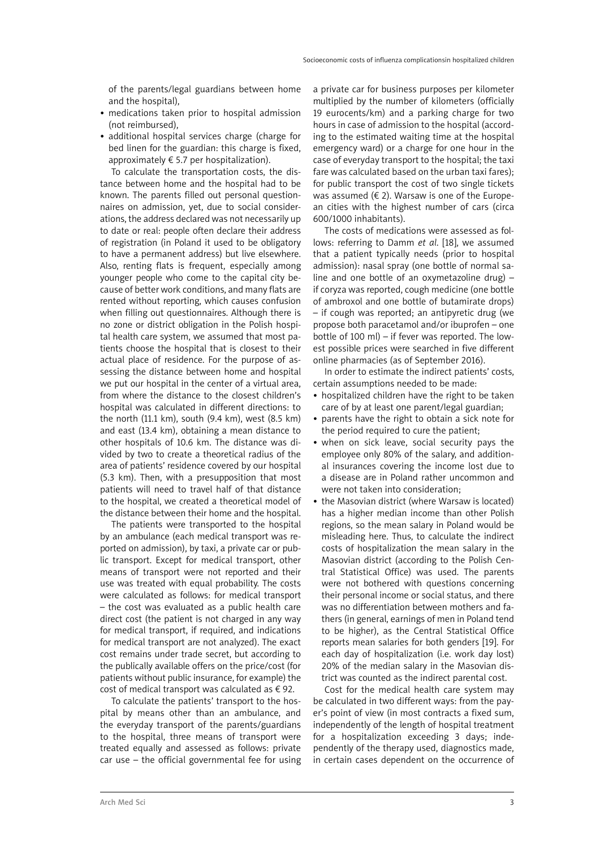of the parents/legal guardians between home and the hospital),

- medications taken prior to hospital admission (not reimbursed),
- additional hospital services charge (charge for bed linen for the guardian: this charge is fixed, approximately  $\epsilon$  5.7 per hospitalization).

To calculate the transportation costs, the distance between home and the hospital had to be known. The parents filled out personal questionnaires on admission, yet, due to social considerations, the address declared was not necessarily up to date or real: people often declare their address of registration (in Poland it used to be obligatory to have a permanent address) but live elsewhere. Also, renting flats is frequent, especially among younger people who come to the capital city because of better work conditions, and many flats are rented without reporting, which causes confusion when filling out questionnaires. Although there is no zone or district obligation in the Polish hospital health care system, we assumed that most patients choose the hospital that is closest to their actual place of residence. For the purpose of assessing the distance between home and hospital we put our hospital in the center of a virtual area, from where the distance to the closest children's hospital was calculated in different directions: to the north (11.1 km), south (9.4 km), west (8.5 km) and east (13.4 km), obtaining a mean distance to other hospitals of 10.6 km. The distance was divided by two to create a theoretical radius of the area of patients' residence covered by our hospital (5.3 km). Then, with a presupposition that most patients will need to travel half of that distance to the hospital, we created a theoretical model of the distance between their home and the hospital.

The patients were transported to the hospital by an ambulance (each medical transport was reported on admission), by taxi, a private car or public transport. Except for medical transport, other means of transport were not reported and their use was treated with equal probability. The costs were calculated as follows: for medical transport – the cost was evaluated as a public health care direct cost (the patient is not charged in any way for medical transport, if required, and indications for medical transport are not analyzed). The exact cost remains under trade secret, but according to the publically available offers on the price/cost (for patients without public insurance, for example) the cost of medical transport was calculated as  $\epsilon$  92.

To calculate the patients' transport to the hospital by means other than an ambulance, and the everyday transport of the parents/guardians to the hospital, three means of transport were treated equally and assessed as follows: private car use – the official governmental fee for using a private car for business purposes per kilometer multiplied by the number of kilometers (officially 19 eurocents/km) and a parking charge for two hours in case of admission to the hospital (according to the estimated waiting time at the hospital emergency ward) or a charge for one hour in the case of everyday transport to the hospital; the taxi fare was calculated based on the urban taxi fares); for public transport the cost of two single tickets was assumed ( $\in$  2). Warsaw is one of the European cities with the highest number of cars (circa 600/1000 inhabitants).

The costs of medications were assessed as follows: referring to Damm *et al*. [18], we assumed that a patient typically needs (prior to hospital admission): nasal spray (one bottle of normal saline and one bottle of an oxymetazoline drug) – if coryza was reported, cough medicine (one bottle of ambroxol and one bottle of butamirate drops) – if cough was reported; an antipyretic drug (we propose both paracetamol and/or ibuprofen – one bottle of 100 ml) – if fever was reported. The lowest possible prices were searched in five different online pharmacies (as of September 2016).

In order to estimate the indirect patients' costs, certain assumptions needed to be made:

- hospitalized children have the right to be taken care of by at least one parent/legal guardian;
- parents have the right to obtain a sick note for the period required to cure the patient;
- when on sick leave, social security pays the employee only 80% of the salary, and additional insurances covering the income lost due to a disease are in Poland rather uncommon and were not taken into consideration;
- the Masovian district (where Warsaw is located) has a higher median income than other Polish regions, so the mean salary in Poland would be misleading here. Thus, to calculate the indirect costs of hospitalization the mean salary in the Masovian district (according to the Polish Central Statistical Office) was used. The parents were not bothered with questions concerning their personal income or social status, and there was no differentiation between mothers and fathers (in general, earnings of men in Poland tend to be higher), as the Central Statistical Office reports mean salaries for both genders [19]. For each day of hospitalization (i.e. work day lost) 20% of the median salary in the Masovian district was counted as the indirect parental cost.

Cost for the medical health care system may be calculated in two different ways: from the payer's point of view (in most contracts a fixed sum, independently of the length of hospital treatment for a hospitalization exceeding 3 days; independently of the therapy used, diagnostics made, in certain cases dependent on the occurrence of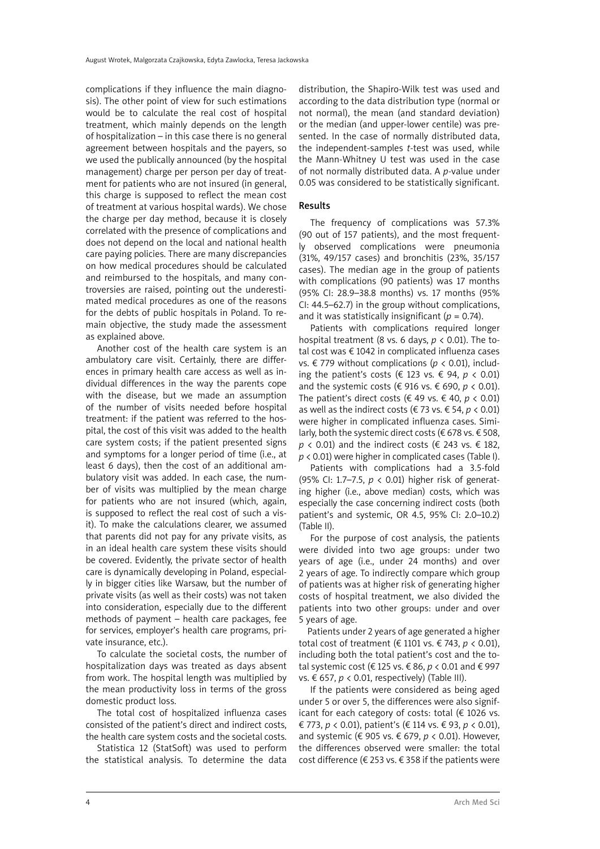complications if they influence the main diagnosis). The other point of view for such estimations would be to calculate the real cost of hospital treatment, which mainly depends on the length of hospitalization – in this case there is no general agreement between hospitals and the payers, so we used the publically announced (by the hospital management) charge per person per day of treatment for patients who are not insured (in general, this charge is supposed to reflect the mean cost of treatment at various hospital wards). We chose the charge per day method, because it is closely correlated with the presence of complications and does not depend on the local and national health care paying policies. There are many discrepancies on how medical procedures should be calculated and reimbursed to the hospitals, and many controversies are raised, pointing out the underestimated medical procedures as one of the reasons for the debts of public hospitals in Poland. To remain objective, the study made the assessment as explained above.

Another cost of the health care system is an ambulatory care visit. Certainly, there are differences in primary health care access as well as individual differences in the way the parents cope with the disease, but we made an assumption of the number of visits needed before hospital treatment: if the patient was referred to the hospital, the cost of this visit was added to the health care system costs; if the patient presented signs and symptoms for a longer period of time (i.e., at least 6 days), then the cost of an additional ambulatory visit was added. In each case, the number of visits was multiplied by the mean charge for patients who are not insured (which, again, is supposed to reflect the real cost of such a visit). To make the calculations clearer, we assumed that parents did not pay for any private visits, as in an ideal health care system these visits should be covered. Evidently, the private sector of health care is dynamically developing in Poland, especially in bigger cities like Warsaw, but the number of private visits (as well as their costs) was not taken into consideration, especially due to the different methods of payment – health care packages, fee for services, employer's health care programs, private insurance, etc.).

To calculate the societal costs, the number of hospitalization days was treated as days absent from work. The hospital length was multiplied by the mean productivity loss in terms of the gross domestic product loss.

The total cost of hospitalized influenza cases consisted of the patient's direct and indirect costs, the health care system costs and the societal costs.

Statistica 12 (StatSoft) was used to perform the statistical analysis. To determine the data distribution, the Shapiro-Wilk test was used and according to the data distribution type (normal or not normal), the mean (and standard deviation) or the median (and upper-lower centile) was presented. In the case of normally distributed data, the independent-samples *t*-test was used, while the Mann-Whitney U test was used in the case of not normally distributed data. A *p*-value under 0.05 was considered to be statistically significant.

## Results

The frequency of complications was 57.3% (90 out of 157 patients), and the most frequently observed complications were pneumonia (31%, 49/157 cases) and bronchitis (23%, 35/157 cases). The median age in the group of patients with complications (90 patients) was 17 months (95% CI: 28.9–38.8 months) vs. 17 months (95% CI: 44.5–62.7) in the group without complications, and it was statistically insignificant ( $p = 0.74$ ).

Patients with complications required longer hospital treatment (8 vs. 6 days, *p* < 0.01). The total cost was € 1042 in complicated influenza cases vs. € 779 without complications (*p* < 0.01), including the patient's costs (€ 123 vs. € 94, *p* < 0.01) and the systemic costs ( $\epsilon$  916 vs.  $\epsilon$  690,  $p$  < 0.01). The patient's direct costs ( $\in$  49 vs.  $\in$  40,  $p \lt 0.01$ ) as well as the indirect costs ( $\in$  73 vs.  $\in$  54,  $p$  < 0.01) were higher in complicated influenza cases. Similarly, both the systemic direct costs ( $\epsilon$  678 vs.  $\epsilon$  508,  $p \lt 0.01$ ) and the indirect costs ( $\in$  243 vs.  $\in$  182, *p* < 0.01) were higher in complicated cases (Table I).

Patients with complications had a 3.5-fold (95% CI: 1.7–7.5, *p* < 0.01) higher risk of generating higher (i.e., above median) costs, which was especially the case concerning indirect costs (both patient's and systemic, OR 4.5, 95% CI: 2.0–10.2) (Table II).

For the purpose of cost analysis, the patients were divided into two age groups: under two years of age (i.e., under 24 months) and over 2 years of age. To indirectly compare which group of patients was at higher risk of generating higher costs of hospital treatment, we also divided the patients into two other groups: under and over 5 years of age.

Patients under 2 years of age generated a higher total cost of treatment (€ 1101 vs. € 743, *p* < 0.01), including both the total patient's cost and the total systemic cost (€ 125 vs. € 86, *p* < 0.01 and € 997 vs. € 657, *p* < 0.01, respectively) (Table III).

If the patients were considered as being aged under 5 or over 5, the differences were also significant for each category of costs: total  $(\epsilon 1026 \text{ vs.})$ € 773, *p* < 0.01), patient's (€ 114 vs. € 93, *p* < 0.01), and systemic (€ 905 vs. € 679, *p* < 0.01). However, the differences observed were smaller: the total cost difference (€ 253 vs. € 358 if the patients were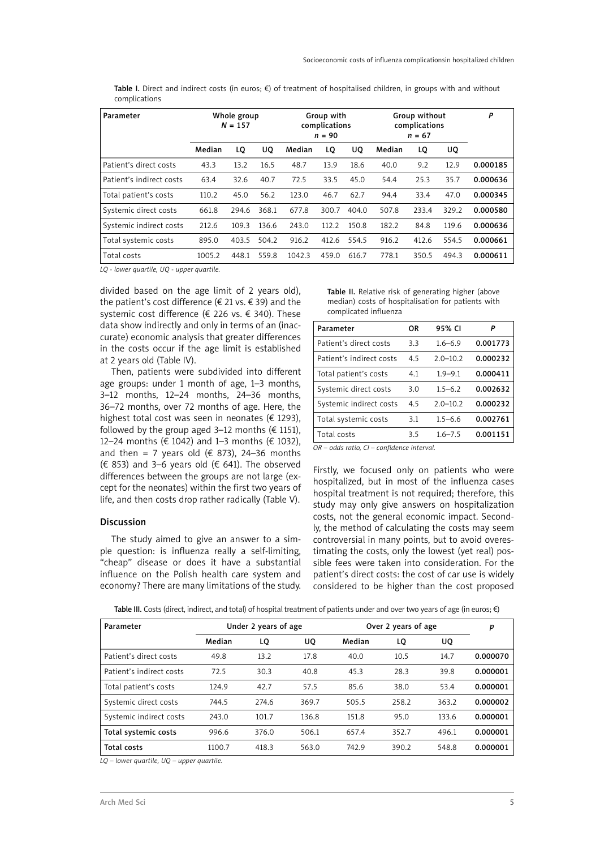Table I. Direct and indirect costs (in euros; €) of treatment of hospitalised children, in groups with and without complications

| Parameter                | Whole group<br>$N = 157$ |       |       | Group with<br>complications<br>$n = 90$ |       |       | Group without<br>complications<br>$n = 67$ |       |       | P        |
|--------------------------|--------------------------|-------|-------|-----------------------------------------|-------|-------|--------------------------------------------|-------|-------|----------|
|                          | Median                   | LQ    | UO.   | Median                                  | LQ    | UQ    | Median                                     | LQ    | UQ    |          |
| Patient's direct costs   | 43.3                     | 13.2  | 16.5  | 48.7                                    | 13.9  | 18.6  | 40.0                                       | 9.2   | 12.9  | 0.000185 |
| Patient's indirect costs | 63.4                     | 32.6  | 40.7  | 72.5                                    | 33.5  | 45.0  | 54.4                                       | 25.3  | 35.7  | 0.000636 |
| Total patient's costs    | 110.2                    | 45.0  | 56.2  | 123.0                                   | 46.7  | 62.7  | 94.4                                       | 33.4  | 47.0  | 0.000345 |
| Systemic direct costs    | 661.8                    | 294.6 | 368.1 | 677.8                                   | 300.7 | 404.0 | 507.8                                      | 233.4 | 329.2 | 0.000580 |
| Systemic indirect costs  | 212.6                    | 109.3 | 136.6 | 243.0                                   | 112.2 | 150.8 | 182.2                                      | 84.8  | 119.6 | 0.000636 |
| Total systemic costs     | 895.0                    | 403.5 | 504.2 | 916.2                                   | 412.6 | 554.5 | 916.2                                      | 412.6 | 554.5 | 0.000661 |
| Total costs              | 1005.2                   | 448.1 | 559.8 | 1042.3                                  | 459.0 | 616.7 | 778.1                                      | 350.5 | 494.3 | 0.000611 |

*LQ - lower quartile, UQ - upper quartile.*

divided based on the age limit of 2 years old), the patient's cost difference ( $\in$  21 vs.  $\in$  39) and the systemic cost difference (€ 226 vs. € 340). These data show indirectly and only in terms of an (inaccurate) economic analysis that greater differences in the costs occur if the age limit is established at 2 years old (Table IV).

Then, patients were subdivided into different age groups: under 1 month of age, 1–3 months, 3–12 months, 12–24 months, 24–36 months, 36–72 months, over 72 months of age. Here, the highest total cost was seen in neonates ( $\epsilon$  1293), followed by the group aged 3–12 months ( $\epsilon$  1151), 12–24 months (€ 1042) and 1–3 months (€ 1032), and then = 7 years old ( $\in$  873), 24-36 months (€ 853) and 3–6 years old (€ 641). The observed differences between the groups are not large (except for the neonates) within the first two years of life, and then costs drop rather radically (Table V).

#### Discussion

The study aimed to give an answer to a simple question: is influenza really a self-limiting, "cheap" disease or does it have a substantial influence on the Polish health care system and economy? There are many limitations of the study.

Table II. Relative risk of generating higher (above median) costs of hospitalisation for patients with complicated influenza

| Parameter                | OR  | 95% CI       | P        |
|--------------------------|-----|--------------|----------|
| Patient's direct costs   | 3.3 | $1.6 - 6.9$  | 0.001773 |
| Patient's indirect costs | 4.5 | $2.0 - 10.2$ | 0.000232 |
| Total patient's costs    | 4.1 | $1.9 - 9.1$  | 0.000411 |
| Systemic direct costs    | 3.0 | $1.5 - 6.2$  | 0.002632 |
| Systemic indirect costs  | 4.5 | $2.0 - 10.2$ | 0.000232 |
| Total systemic costs     | 3.1 | $1.5 - 6.6$  | 0.002761 |
| Total costs              | 3.5 | $1.6 - 7.5$  | 0.001151 |

*OR – odds ratio, CI – confidence interval.* 

Firstly, we focused only on patients who were hospitalized, but in most of the influenza cases hospital treatment is not required; therefore, this study may only give answers on hospitalization costs, not the general economic impact. Secondly, the method of calculating the costs may seem controversial in many points, but to avoid overestimating the costs, only the lowest (yet real) possible fees were taken into consideration. For the patient's direct costs: the cost of car use is widely considered to be higher than the cost proposed

|  | Table III. Costs (direct, indirect, and total) of hospital treatment of patients under and over two years of age (in euros; €) |  |
|--|--------------------------------------------------------------------------------------------------------------------------------|--|
|--|--------------------------------------------------------------------------------------------------------------------------------|--|

| Parameter                | Under 2 years of age |       |       | Over 2 years of age | p     |       |          |
|--------------------------|----------------------|-------|-------|---------------------|-------|-------|----------|
|                          | Median               | LQ    | UQ    | Median              | LQ    | UQ.   |          |
| Patient's direct costs   | 49.8                 | 13.2  | 17.8  | 40.0                | 10.5  | 14.7  | 0.000070 |
| Patient's indirect costs | 72.5                 | 30.3  | 40.8  | 45.3                | 28.3  | 39.8  | 0.000001 |
| Total patient's costs    | 124.9                | 42.7  | 57.5  | 85.6                | 38.0  | 53.4  | 0.000001 |
| Systemic direct costs    | 744.5                | 274.6 | 369.7 | 505.5               | 258.2 | 363.2 | 0.000002 |
| Systemic indirect costs  | 243.0                | 101.7 | 136.8 | 151.8               | 95.0  | 133.6 | 0.000001 |
| Total systemic costs     | 996.6                | 376.0 | 506.1 | 657.4               | 352.7 | 496.1 | 0.000001 |
| <b>Total costs</b>       | 1100.7               | 418.3 | 563.0 | 742.9               | 390.2 | 548.8 | 0.000001 |

*LQ – lower quartile, UQ – upper quartile.*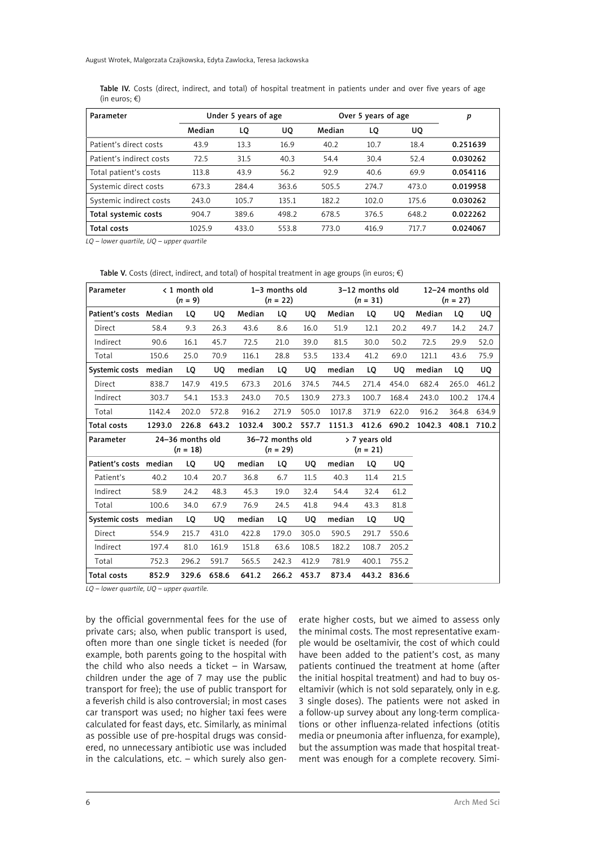Table IV. Costs (direct, indirect, and total) of hospital treatment in patients under and over five years of age (in euros; €)

| Parameter                | Under 5 years of age |       |       | Over 5 years of age | p     |       |          |
|--------------------------|----------------------|-------|-------|---------------------|-------|-------|----------|
|                          | Median               | LQ    | UQ    | Median              | LQ    | UQ    |          |
| Patient's direct costs   | 43.9                 | 13.3  | 16.9  | 40.2                | 10.7  | 18.4  | 0.251639 |
| Patient's indirect costs | 72.5                 | 31.5  | 40.3  | 54.4                | 30.4  | 52.4  | 0.030262 |
| Total patient's costs    | 113.8                | 43.9  | 56.2  | 92.9                | 40.6  | 69.9  | 0.054116 |
| Systemic direct costs    | 673.3                | 284.4 | 363.6 | 505.5               | 274.7 | 473.0 | 0.019958 |
| Systemic indirect costs  | 243.0                | 105.7 | 135.1 | 182.2               | 102.0 | 175.6 | 0.030262 |
| Total systemic costs     | 904.7                | 389.6 | 498.2 | 678.5               | 376.5 | 648.2 | 0.022262 |
| Total costs              | 1025.9               | 433.0 | 553.8 | 773.0               | 416.9 | 717.7 | 0.024067 |

*LQ – lower quartile, UQ – upper quartile*

#### Table V. Costs (direct, indirect, and total) of hospital treatment in age groups (in euros;  $\epsilon$ )

| Parameter              |        | < 1 month old<br>$(n = 9)$     |       | 1-3 months old<br>$(n = 22)$ |                                |             | 3-12 months old<br>$(n = 31)$ |       |             | 12-24 months old<br>$(n = 27)$ |       |             |
|------------------------|--------|--------------------------------|-------|------------------------------|--------------------------------|-------------|-------------------------------|-------|-------------|--------------------------------|-------|-------------|
| Patient's costs Median |        | LQ                             | UQ    | Median                       | LQ                             | UQ          | Median                        | LQ    | UQ          | Median                         | LQ    | UQ          |
| Direct                 | 58.4   | 9.3                            | 26.3  | 43.6                         | 8.6                            | 16.0        | 51.9                          | 12.1  | 20.2        | 49.7                           | 14.2  | 24.7        |
| Indirect               | 90.6   | 16.1                           | 45.7  | 72.5                         | 21.0                           | 39.0        | 81.5                          | 30.0  | 50.2        | 72.5                           | 29.9  | 52.0        |
| Total                  | 150.6  | 25.0                           | 70.9  | 116.1                        | 28.8                           | 53.5        | 133.4                         | 41.2  | 69.0        | 121.1                          | 43.6  | 75.9        |
| Systemic costs median  |        | LQ                             | UQ    | median                       | LQ                             | UQ          | median                        | LQ    | UO.         | median                         | LQ    | UQ          |
| Direct                 | 838.7  | 147.9                          | 419.5 | 673.3                        | 201.6                          | 374.5       | 744.5                         | 271.4 | 454.0       | 682.4                          | 265.0 | 461.2       |
| Indirect               | 303.7  | 54.1                           | 153.3 | 243.0                        | 70.5                           | 130.9       | 273.3                         | 100.7 | 168.4       | 243.0                          | 100.2 | 174.4       |
| Total                  | 1142.4 | 202.0                          | 572.8 | 916.2                        | 271.9                          | 505.0       | 1017.8                        | 371.9 | 622.0       | 916.2                          | 364.8 | 634.9       |
| Total costs            | 1293.0 | 226.8                          | 643.2 | 1032.4                       | 300.2                          | 557.7       |                               |       |             | 1151.3 412.6 690.2 1042.3      |       | 408.1 710.2 |
| Parameter              |        | 24-36 months old<br>$(n = 18)$ |       |                              | 36-72 months old<br>$(n = 29)$ |             | > 7 years old<br>$(n = 21)$   |       |             |                                |       |             |
| Patient's costs median |        | LQ                             | UQ    | median                       | LQ                             | UQ.         | median                        | LQ    | UQ          |                                |       |             |
| Patient's              | 40.2   | 10.4                           | 20.7  | 36.8                         | 6.7                            | 11.5        | 40.3                          | 11.4  | 21.5        |                                |       |             |
| Indirect               | 58.9   | 24.2                           | 48.3  | 45.3                         | 19.0                           | 32.4        | 54.4                          | 32.4  | 61.2        |                                |       |             |
| Total                  | 100.6  | 34.0                           | 67.9  | 76.9                         | 24.5                           | 41.8        | 94.4                          | 43.3  | 81.8        |                                |       |             |
| Systemic costs median  |        | LQ                             | UQ    | median                       | LQ                             | UQ          | median                        | LQ    | UQ          |                                |       |             |
| Direct                 | 554.9  | 215.7                          | 431.0 | 422.8                        | 179.0                          | 305.0       | 590.5                         | 291.7 | 550.6       |                                |       |             |
| Indirect               | 197.4  | 81.0                           | 161.9 | 151.8                        | 63.6                           | 108.5       | 182.2                         | 108.7 | 205.2       |                                |       |             |
| Total                  | 752.3  | 296.2                          | 591.7 | 565.5                        | 242.3                          | 412.9       | 781.9                         | 400.1 | 755.2       |                                |       |             |
| Total costs            | 852.9  | 329.6                          | 658.6 | 641.2                        |                                | 266.2 453.7 | 873.4                         |       | 443.2 836.6 |                                |       |             |

*LQ – lower quartile, UQ – upper quartile.*

by the official governmental fees for the use of private cars; also, when public transport is used, often more than one single ticket is needed (for example, both parents going to the hospital with the child who also needs a ticket – in Warsaw, children under the age of 7 may use the public transport for free); the use of public transport for a feverish child is also controversial; in most cases car transport was used; no higher taxi fees were calculated for feast days, etc. Similarly, as minimal as possible use of pre-hospital drugs was considered, no unnecessary antibiotic use was included in the calculations, etc. – which surely also generate higher costs, but we aimed to assess only the minimal costs. The most representative example would be oseltamivir, the cost of which could have been added to the patient's cost, as many patients continued the treatment at home (after the initial hospital treatment) and had to buy oseltamivir (which is not sold separately, only in e.g. 3 single doses). The patients were not asked in a follow-up survey about any long-term complications or other influenza-related infections (otitis media or pneumonia after influenza, for example), but the assumption was made that hospital treatment was enough for a complete recovery. Simi-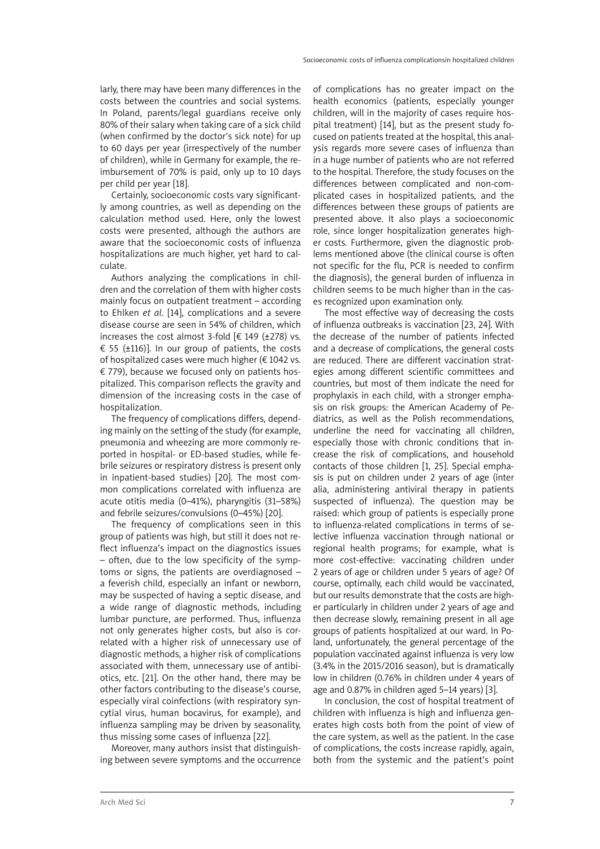larly, there may have been many differences in the costs between the countries and social systems. In Poland, parents/legal guardians receive only 80% of their salary when taking care of a sick child (when confirmed by the doctor's sick note) for up to 60 days per year (irrespectively of the number of children), while in Germany for example, the reimbursement of 70% is paid, only up to 10 days per child per year [18].

Certainly, socioeconomic costs vary significantly among countries, as well as depending on the calculation method used. Here, only the lowest costs were presented, although the authors are aware that the socioeconomic costs of influenza hospitalizations are much higher, yet hard to calculate.

Authors analyzing the complications in children and the correlation of them with higher costs mainly focus on outpatient treatment – according to Ehlken *et al*. [14], complications and a severe disease course are seen in 54% of children, which increases the cost almost 3-fold  $[\text{\ensuremath{\in}}\, 149 \text{ (\pm 278)}\,$  vs. € 55 ( $\pm$ 116)]. In our group of patients, the costs of hospitalized cases were much higher (€ 1042 vs. € 779), because we focused only on patients hospitalized. This comparison reflects the gravity and dimension of the increasing costs in the case of hospitalization.

The frequency of complications differs, depending mainly on the setting of the study (for example, pneumonia and wheezing are more commonly reported in hospital- or ED-based studies, while febrile seizures or respiratory distress is present only in inpatient-based studies) [20]. The most common complications correlated with influenza are acute otitis media (0–41%), pharyngitis (31–58%) and febrile seizures/convulsions (0–45%) [20].

The frequency of complications seen in this group of patients was high, but still it does not reflect influenza's impact on the diagnostics issues – often, due to the low specificity of the symptoms or signs, the patients are overdiagnosed – a feverish child, especially an infant or newborn, may be suspected of having a septic disease, and a wide range of diagnostic methods, including lumbar puncture, are performed. Thus, influenza not only generates higher costs, but also is correlated with a higher risk of unnecessary use of diagnostic methods, a higher risk of complications associated with them, unnecessary use of antibiotics, etc. [21]. On the other hand, there may be other factors contributing to the disease's course, especially viral coinfections (with respiratory syncytial virus, human bocavirus, for example), and influenza sampling may be driven by seasonality, thus missing some cases of influenza [22].

Moreover, many authors insist that distinguishing between severe symptoms and the occurrence of complications has no greater impact on the health economics (patients, especially younger children, will in the majority of cases require hospital treatment) [14], but as the present study focused on patients treated at the hospital, this analysis regards more severe cases of influenza than in a huge number of patients who are not referred to the hospital. Therefore, the study focuses on the differences between complicated and non-complicated cases in hospitalized patients, and the differences between these groups of patients are presented above. It also plays a socioeconomic role, since longer hospitalization generates higher costs. Furthermore, given the diagnostic problems mentioned above (the clinical course is often not specific for the flu, PCR is needed to confirm the diagnosis), the general burden of influenza in children seems to be much higher than in the cases recognized upon examination only.

The most effective way of decreasing the costs of influenza outbreaks is vaccination [23, 24]. With the decrease of the number of patients infected and a decrease of complications, the general costs are reduced. There are different vaccination strategies among different scientific committees and countries, but most of them indicate the need for prophylaxis in each child, with a stronger emphasis on risk groups: the American Academy of Pediatrics, as well as the Polish recommendations, underline the need for vaccinating all children, especially those with chronic conditions that increase the risk of complications, and household contacts of those children [1, 25]. Special emphasis is put on children under 2 years of age (inter alia, administering antiviral therapy in patients suspected of influenza). The question may be raised: which group of patients is especially prone to influenza-related complications in terms of selective influenza vaccination through national or regional health programs; for example, what is more cost-effective: vaccinating children under 2 years of age or children under 5 years of age? Of course, optimally, each child would be vaccinated, but our results demonstrate that the costs are higher particularly in children under 2 years of age and then decrease slowly, remaining present in all age groups of patients hospitalized at our ward. In Poland, unfortunately, the general percentage of the population vaccinated against influenza is very low (3.4% in the 2015/2016 season), but is dramatically low in children (0.76% in children under 4 years of age and 0.87% in children aged 5–14 years) [3].

In conclusion, the cost of hospital treatment of children with influenza is high and influenza generates high costs both from the point of view of the care system, as well as the patient. In the case of complications, the costs increase rapidly, again, both from the systemic and the patient's point